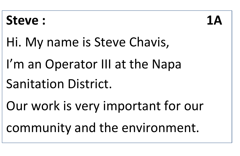

Hi. My name is Steve Chavis,

I'm an Operator III at the Napa Sanitation District.

Our work is very important for our

community and the environment.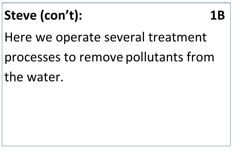# Steve (con't): 1B

Here we operate several treatment

processes to remove pollutants from

the water.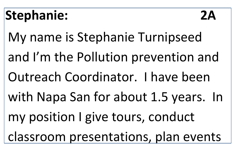# **Stephanie:**

My name is Stephanie Turnipseed and I'm the Pollution prevention and Outreach Coordinator. I have been with Napa San for about 1.5 years. In my position I give tours, conduct classroom presentations, plan events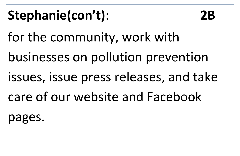# **Stephanie(con't)**: **2B** for the community, work with businesses on pollution prevention issues, issue press releases, and take care of our website and Facebook pages.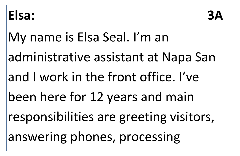# **Elsa: 3A**

My name is Elsa Seal. I'm an administrative assistant at Napa San and I work in the front office. I've been here for 12 years and main responsibilities are greeting visitors, answering phones, processing

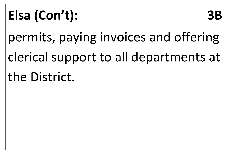# **Elsa (Con't): 3B**

permits, paying invoices and offering clerical support to all departments at the District.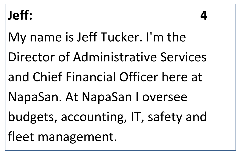

My name is Jeff Tucker. I'm the Director of Administrative Services and Chief Financial Officer here at NapaSan. At NapaSan I oversee budgets, accounting, IT, safety and fleet management.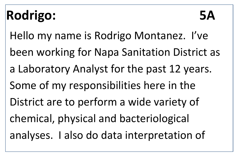# **Rodrigo: 5A**

Hello my name is Rodrigo Montanez. I've been working for Napa Sanitation District as a Laboratory Analyst for the past 12 years. Some of my responsibilities here in the District are to perform a wide variety of chemical, physical and bacteriological analyses. I also do data interpretation of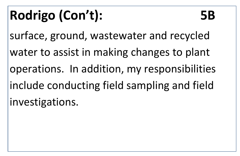# **Rodrigo (Con't): 5B**

surface, ground, wastewater and recycled

water to assist in making changes to plant

operations. In addition, my responsibilities

include conducting field sampling and field

investigations.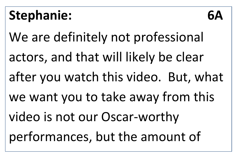**Stephanie: 6A** We are definitely not professional actors, and that will likely be clear after you watch this video. But, what we want you to take away from this video is not our Oscar-worthy performances, but the amount of

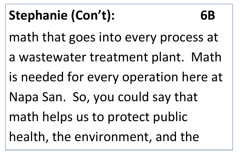**Stephanie (Con't): 6B** math that goes into every process at a wastewater treatment plant. Math is needed for every operation here at Napa San. So, you could say that math helps us to protect public health, the environment, and the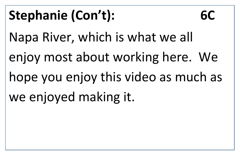**Stephanie (Con't): 6C** Napa River, which is what we all enjoy most about working here. We hope you enjoy this video as much as we enjoyed making it.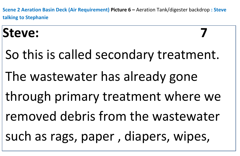**Scene 2 Aeration Basin Deck (Air Requirement) Picture 6 –** Aeration Tank/digester backdrop **: Steve talking to Stephanie**

## **Steve: 7**

So this is called secondary treatment. The wastewater has already gone through primary treatment where we removed debris from the wastewater such as rags, paper , diapers, wipes,



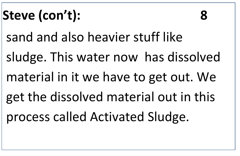# **Steve (con't): 8**

sand and also heavier stuff like

sludge. This water now has dissolved

- material in it we have to get out. We
- get the dissolved material out in this

process called Activated Sludge.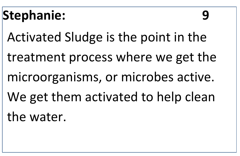# **Stephanie: 9**

Activated Sludge is the point in the

treatment process where we get the

microorganisms, or microbes active.

We get them activated to help clean

the water.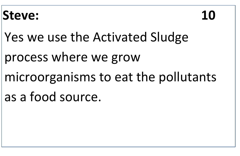# **Steve: 10**

Yes we use the Activated Sludge process where we grow microorganisms to eat the pollutants as a food source.

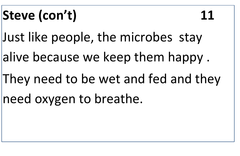# **Steve (con't) 11**

Just like people, the microbes stay

alive because we keep them happy .

They need to be wet and fed and they

need oxygen to breathe.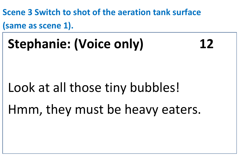**Scene 3 Switch to shot of the aeration tank surface (same as scene 1).** 

# **Stephanie: (Voice only) 12**

# Look at all those tiny bubbles! Hmm, they must be heavy eaters.

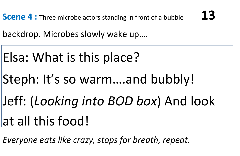**Scene 4 :** Three microbe actors standing in front of a bubble  $13$ 

backdrop. Microbes slowly wake up….

# Elsa: What is this place? Steph: It's so warm….and bubbly! Jeff: (*Looking into BOD box*) And look at all this food!

*Everyone eats like crazy, stops for breath, repeat.*



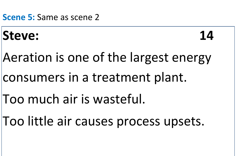## **Scene 5:** Same as scene 2

## **Steve:** 14

Aeration is one of the largest energy consumers in a treatment plant.

Too much air is wasteful.

Too little air causes process upsets.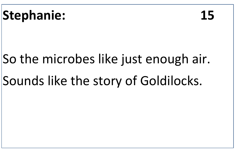# **Stephanie: 15**

# So the microbes like just enough air. Sounds like the story of Goldilocks.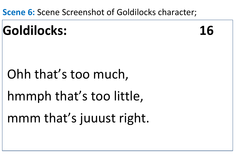## **Scene 6:** Scene Screenshot of Goldilocks character;

# **Goldilocks: 16**

# Ohh that's too much, hmmph that's too little, mmm that's juuust right.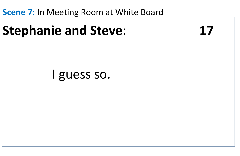## **Scene 7:** In Meeting Room at White Board

## **Stephanie and Steve**: **17**

## I guess so.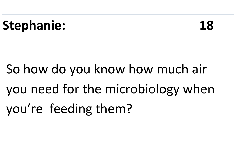# **Stephanie: 18**

So how do you know how much air you need for the microbiology when you're feeding them?

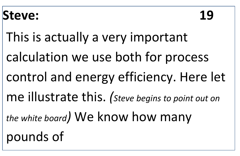## **Steve: 19**

This is actually a very important calculation we use both for process control and energy efficiency. Here let me illustrate this. *(Steve begins to point out on the white board)* We know how many pounds of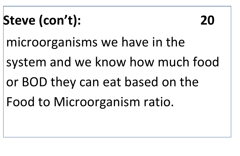# **Steve (con't): 20**

microorganisms we have in the

system and we know how much food

or BOD they can eat based on the

Food to Microorganism ratio.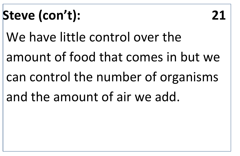# **Steve (con't): 21**

We have little control over the

amount of food that comes in but we

can control the number of organisms

and the amount of air we add.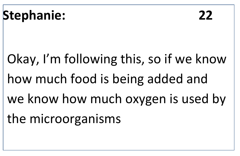# **Stephanie: 22**

Okay, I'm following this, so if we know how much food is being added and we know how much oxygen is used by the microorganisms

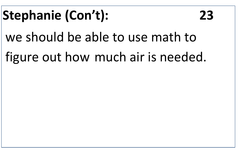# **Stephanie (Con't): 23**

we should be able to use math to

figure out how much air is needed.